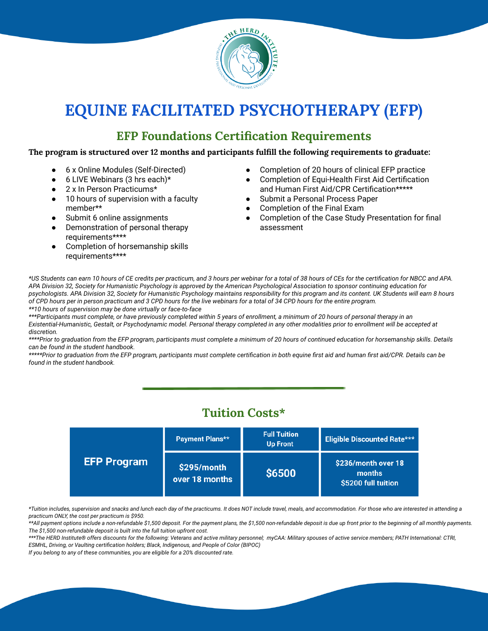

# **EQUINE FACILITATED PSYCHOTHERAPY (EFP)**

### **EFP Foundations Certification Requirements**

#### **The program is structured over 12 months and participants fulfill the following requirements to graduate:**

- 6 x Online Modules (Self-Directed)
- $\bullet$  6 LIVE Webinars (3 hrs each)\*
- 2 x In Person Practicums\*
- 10 hours of supervision with a faculty member\*\*
- Submit 6 online assignments
- Demonstration of personal therapy requirements\*\*\*\*
- Completion of horsemanship skills requirements\*\*\*\*
- Completion of 20 hours of clinical EFP practice
- Completion of Equi-Health First Aid Certification and Human First Aid/CPR Certification\*\*\*\*\*
- Submit a Personal Process Paper
- Completion of the Final Exam
- Completion of the Case Study Presentation for final assessment

\*US Students can earn 10 hours of CE credits per practicum, and 3 hours per webinar for a total of 38 hours of CEs for the certification for NBCC and APA. APA Division 32, Society for Humanistic Psychology is approved by the American Psychological Association to sponsor continuing education for psychologists. APA Division 32, Society for Humanistic Psychology maintains responsibility for this program and its content. UK Students will earn 8 hours of CPD hours per in person practicum and 3 CPD hours for the live webinars for a total of 34 CPD hours for the entire program. *\*\*10 hours of supervision may be done virtually or face-to-face*

\*\*\*Participants must complete, or have previously completed within 5 years of enrollment, a minimum of 20 hours of personal therapy in an Existential-Humanistic, Gestalt, or Psychodynamic model. Personal therapy completed in any other modalities prior to enrollment will be accepted at *discretion.*

\*\*\*\*Prior to graduation from the EFP program, participants must complete a minimum of 20 hours of continued education for horsemanship skills. Details *can be found in the student handbook.*

\*\*\*\*\*Prior to graduation from the EFP program, participants must complete certification in both equine first aid and human first aid/CPR. Details can be *found in the student handbook.*

### **Tuition Costs\***

| <b>EFP Program</b> | Payment Plans**               | <b>Full Tuition</b><br><b>Up Front</b> | <b>Eligible Discounted Rate***</b>                   |
|--------------------|-------------------------------|----------------------------------------|------------------------------------------------------|
|                    | \$295/month<br>over 18 months | <b>S6500</b>                           | \$236/month over 18<br>months<br>\$5200 full tuition |

\*Tuition includes, supervision and snacks and lunch each day of the practicums. It does NOT include travel, meals, and accommodation. For those who are interested in attending a *practicum ONLY, the cost per practicum is \$950.*

\*\*All payment options include a non-refundable \$1,500 deposit. For the payment plans, the \$1,500 non-refundable deposit is due up front prior to the beginning of all monthly payments. *The \$1,500 non-refundable deposit is built into the full tuition upfront cost.*

\*\*\*The HERD Institute® offers discounts for the following: Veterans and active military personnel; myCAA: Military spouses of active service members; PATH International: CTRI, *ESMHL, Driving, or Vaulting certification holders; Black, Indigenous, and People of Color (BIPOC)*

*If you belong to any of these communities, you are eligible for a 20% discounted rate.*